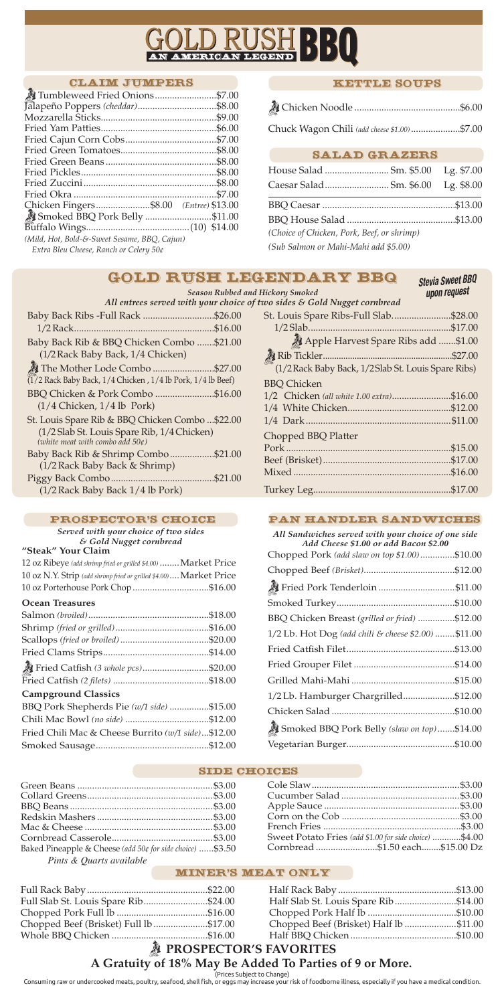## *PROSPECTOR'S FAVORITES* **A Gratuity of 18% May Be Added To Parties of 9 or More.**

Consuming raw or undercooked meats, poultry, seafood, shell fish, or eggs may increase your risk of foodborne illness, especially if you have a medical condition.

(Prices Subject to Change)

# <u>USHB</u> **AMERICAN**

#### Claim Jumpers

| Tumbleweed Fried Onions\$7.00                |  |
|----------------------------------------------|--|
|                                              |  |
|                                              |  |
|                                              |  |
|                                              |  |
|                                              |  |
|                                              |  |
|                                              |  |
|                                              |  |
|                                              |  |
| Chicken Fingers\$8.00 (Entree) \$13.00       |  |
|                                              |  |
|                                              |  |
| (Mild, Hot, Bold-&-Sweet Sesame, BBQ, Cajun) |  |
| Extra Bleu Cheese, Ranch or Celery 50¢       |  |

## **"Steak" Your Claim**

| 12 oz Ribeye (add shrimp fried or grilled \$4.00)  Market Price    |  |
|--------------------------------------------------------------------|--|
| 10 oz N.Y. Strip (add shrimp fried or grilled \$4.00) Market Price |  |
| 10 oz Porterhouse Pork Chop \$16.00                                |  |

#### **Ocean Treasures**

| Fried Catfish (3 whole pcs)\$20.00                 |  |
|----------------------------------------------------|--|
|                                                    |  |
| <b>Campground Classics</b>                         |  |
| BBQ Pork Shepherds Pie (w/1 side) \$15.00          |  |
|                                                    |  |
| Fried Chili Mac & Cheese Burrito (w/1 side)\$12.00 |  |

#### *Served with your choice of two sides & Gold Nugget cornbread*

## Kettle Soups

|--|--|--|--|--|

Chuck Wagon Chili *(add cheese \$1.00)*....................\$7.00

| All entrees served with your choice c                                             |  |
|-----------------------------------------------------------------------------------|--|
| Baby Back Ribs - Full Rack \$26.00                                                |  |
|                                                                                   |  |
| Baby Back Rib & BBQ Chicken Combo \$21.00                                         |  |
| (1/2 Rack Baby Back, 1/4 Chicken)                                                 |  |
| The Mother Lode Combo \$27.00                                                     |  |
| $(1/2$ Rack Baby Back, $1/4$ Chicken, $1/4$ lb Pork, $1/4$ lb Beef)               |  |
| BBQ Chicken & Pork Combo \$16.00                                                  |  |
| $(1/4 \text{ Chicken}, 1/4 \text{ lb} \text{ Park})$                              |  |
| St. Louis Spare Rib & BBQ Chicken Combo  \$22.00                                  |  |
| (1/2 Slab St. Louis Spare Rib, 1/4 Chicken)<br>(white meat with combo add $50¢$ ) |  |
| Baby Back Rib & Shrimp Combo\$21.00                                               |  |
| (1/2 Rack Baby Back & Shrimp)                                                     |  |
|                                                                                   |  |
| (1/2 Rack Baby Back 1/4 lb Pork)                                                  |  |

## PROSPECTOR'S CHOICE

| uu III aan y Siiloncu                               | upon request |
|-----------------------------------------------------|--------------|
| of two sides & Gold Nugget cornbread                |              |
| St. Louis Spare Ribs-Full Slab\$28.00               |              |
|                                                     |              |
| Apple Harvest Spare Ribs add \$1.00                 |              |
|                                                     |              |
| (1/2 Rack Baby Back, 1/2 Slab St. Louis Spare Ribs) |              |
| <b>BBQ Chicken</b>                                  |              |
| 1/2 Chicken (all white 1.00 extra)\$16.00           |              |
|                                                     |              |
|                                                     |              |
| Chopped BBQ Platter                                 |              |
|                                                     |              |
|                                                     |              |
|                                                     |              |
|                                                     |              |
|                                                     |              |

## Pan Handler Sandwiches

*All Sandwiches served with your choice of one side Add Cheese \$1.00 or add Bacon \$2.00*

| Chopped Pork (add slaw on top \$1.00)\$10.00         |  |
|------------------------------------------------------|--|
|                                                      |  |
| <sup>2</sup> Fried Pork Tenderloin \$11.00           |  |
|                                                      |  |
| BBQ Chicken Breast (grilled or fried) \$12.00        |  |
| 1/2 Lb. Hot Dog (add chili & cheese \$2.00)  \$11.00 |  |
|                                                      |  |
|                                                      |  |
|                                                      |  |
| 1/2 Lb. Hamburger Chargrilled\$12.00                 |  |
|                                                      |  |
| Smoked BBQ Pork Belly (slaw on top)\$14.00           |  |
|                                                      |  |

Vegetarian Burger............................................\$10.00

#### SIDE CHOICES

### Salad Grazers

| (Choice of Chicken, Pork, Beef, or shrimp) |  |
|--------------------------------------------|--|
| (Sub Salmon or Mahi-Mahi add \$5.00)       |  |

## Gold Rush Legendary BBQ

*Season Rubbed and Hickory Smoked*

| Full Slab St. Louis Spare Rib\$24.00   | Half Slab St. Louis Spare Rib\$14.00   |  |
|----------------------------------------|----------------------------------------|--|
|                                        |                                        |  |
| Chopped Beef (Brisket) Full lb \$17.00 | Chopped Beef (Brisket) Half lb \$11.00 |  |
|                                        |                                        |  |

#### Miner's Meat Only

| Baked Pineapple & Cheese (add 50¢ for side choice) \$3.50 |  |
|-----------------------------------------------------------|--|
| Pints & Quarts available                                  |  |

| Sweet Potato Fries (add \$1.00 for side choice)  \$4.00 |  |
|---------------------------------------------------------|--|
| Cornbread \$1.50 each\$15.00 Dz                         |  |

*Stevia Sweet BBQ upon request*